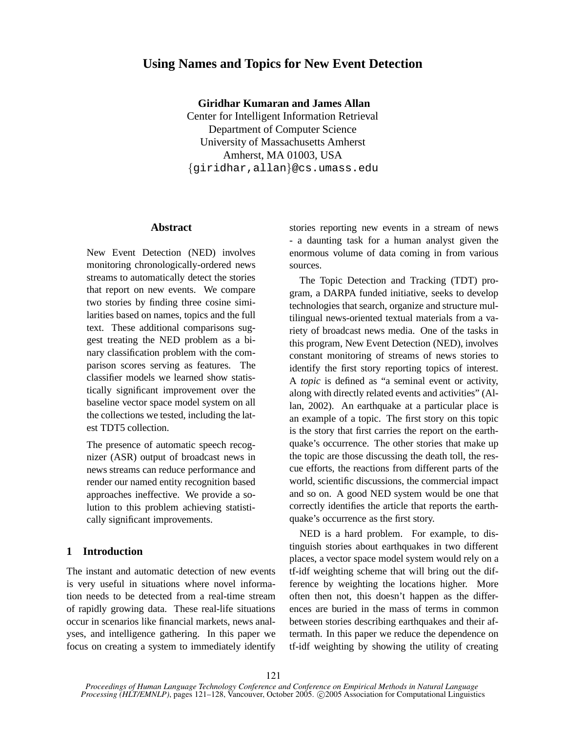# **Using Names and Topics for New Event Detection**

**Giridhar Kumaran and James Allan**

Center for Intelligent Information Retrieval Department of Computer Science University of Massachusetts Amherst Amherst, MA 01003, USA {giridhar,allan}@cs.umass.edu

### **Abstract**

New Event Detection (NED) involves monitoring chronologically-ordered news streams to automatically detect the stories that report on new events. We compare two stories by finding three cosine similarities based on names, topics and the full text. These additional comparisons suggest treating the NED problem as a binary classification problem with the comparison scores serving as features. The classifier models we learned show statistically significant improvement over the baseline vector space model system on all the collections we tested, including the latest TDT5 collection.

The presence of automatic speech recognizer (ASR) output of broadcast news in news streams can reduce performance and render our named entity recognition based approaches ineffective. We provide a solution to this problem achieving statistically significant improvements.

# **1 Introduction**

The instant and automatic detection of new events is very useful in situations where novel information needs to be detected from a real-time stream of rapidly growing data. These real-life situations occur in scenarios like financial markets, news analyses, and intelligence gathering. In this paper we focus on creating a system to immediately identify stories reporting new events in a stream of news - a daunting task for a human analyst given the enormous volume of data coming in from various sources.

The Topic Detection and Tracking (TDT) program, a DARPA funded initiative, seeks to develop technologies that search, organize and structure multilingual news-oriented textual materials from a variety of broadcast news media. One of the tasks in this program, New Event Detection (NED), involves constant monitoring of streams of news stories to identify the first story reporting topics of interest. A *topic* is defined as "a seminal event or activity, along with directly related events and activities" (Allan, 2002). An earthquake at a particular place is an example of a topic. The first story on this topic is the story that first carries the report on the earthquake's occurrence. The other stories that make up the topic are those discussing the death toll, the rescue efforts, the reactions from different parts of the world, scientific discussions, the commercial impact and so on. A good NED system would be one that correctly identifies the article that reports the earthquake's occurrence as the first story.

NED is a hard problem. For example, to distinguish stories about earthquakes in two different places, a vector space model system would rely on a tf-idf weighting scheme that will bring out the difference by weighting the locations higher. More often then not, this doesn't happen as the differences are buried in the mass of terms in common between stories describing earthquakes and their aftermath. In this paper we reduce the dependence on tf-idf weighting by showing the utility of creating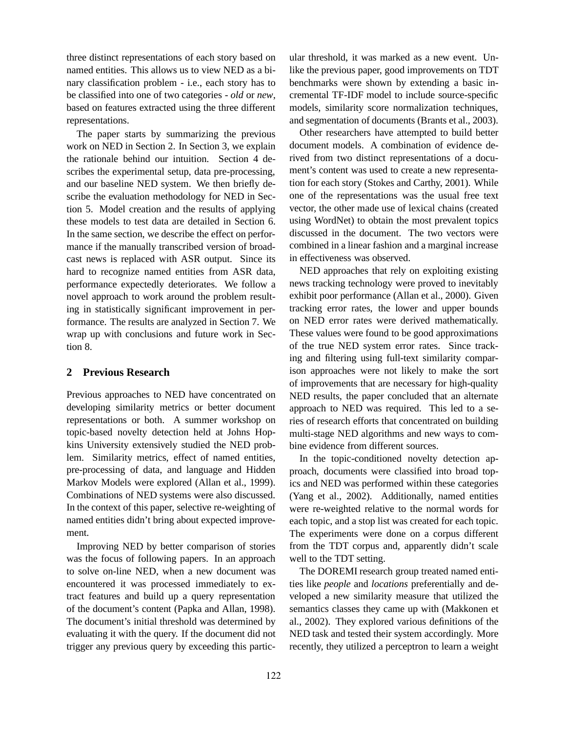three distinct representations of each story based on named entities. This allows us to view NED as a binary classification problem - i.e., each story has to be classified into one of two categories - *old* or *new*, based on features extracted using the three different representations.

The paper starts by summarizing the previous work on NED in Section 2. In Section 3, we explain the rationale behind our intuition. Section 4 describes the experimental setup, data pre-processing, and our baseline NED system. We then briefly describe the evaluation methodology for NED in Section 5. Model creation and the results of applying these models to test data are detailed in Section 6. In the same section, we describe the effect on performance if the manually transcribed version of broadcast news is replaced with ASR output. Since its hard to recognize named entities from ASR data, performance expectedly deteriorates. We follow a novel approach to work around the problem resulting in statistically significant improvement in performance. The results are analyzed in Section 7. We wrap up with conclusions and future work in Section 8.

### **2 Previous Research**

Previous approaches to NED have concentrated on developing similarity metrics or better document representations or both. A summer workshop on topic-based novelty detection held at Johns Hopkins University extensively studied the NED problem. Similarity metrics, effect of named entities, pre-processing of data, and language and Hidden Markov Models were explored (Allan et al., 1999). Combinations of NED systems were also discussed. In the context of this paper, selective re-weighting of named entities didn't bring about expected improvement.

Improving NED by better comparison of stories was the focus of following papers. In an approach to solve on-line NED, when a new document was encountered it was processed immediately to extract features and build up a query representation of the document's content (Papka and Allan, 1998). The document's initial threshold was determined by evaluating it with the query. If the document did not trigger any previous query by exceeding this particular threshold, it was marked as a new event. Unlike the previous paper, good improvements on TDT benchmarks were shown by extending a basic incremental TF-IDF model to include source-specific models, similarity score normalization techniques, and segmentation of documents (Brants et al., 2003).

Other researchers have attempted to build better document models. A combination of evidence derived from two distinct representations of a document's content was used to create a new representation for each story (Stokes and Carthy, 2001). While one of the representations was the usual free text vector, the other made use of lexical chains (created using WordNet) to obtain the most prevalent topics discussed in the document. The two vectors were combined in a linear fashion and a marginal increase in effectiveness was observed.

NED approaches that rely on exploiting existing news tracking technology were proved to inevitably exhibit poor performance (Allan et al., 2000). Given tracking error rates, the lower and upper bounds on NED error rates were derived mathematically. These values were found to be good approximations of the true NED system error rates. Since tracking and filtering using full-text similarity comparison approaches were not likely to make the sort of improvements that are necessary for high-quality NED results, the paper concluded that an alternate approach to NED was required. This led to a series of research efforts that concentrated on building multi-stage NED algorithms and new ways to combine evidence from different sources.

In the topic-conditioned novelty detection approach, documents were classified into broad topics and NED was performed within these categories (Yang et al., 2002). Additionally, named entities were re-weighted relative to the normal words for each topic, and a stop list was created for each topic. The experiments were done on a corpus different from the TDT corpus and, apparently didn't scale well to the TDT setting.

The DOREMI research group treated named entities like *people* and *locations* preferentially and developed a new similarity measure that utilized the semantics classes they came up with (Makkonen et al., 2002). They explored various definitions of the NED task and tested their system accordingly. More recently, they utilized a perceptron to learn a weight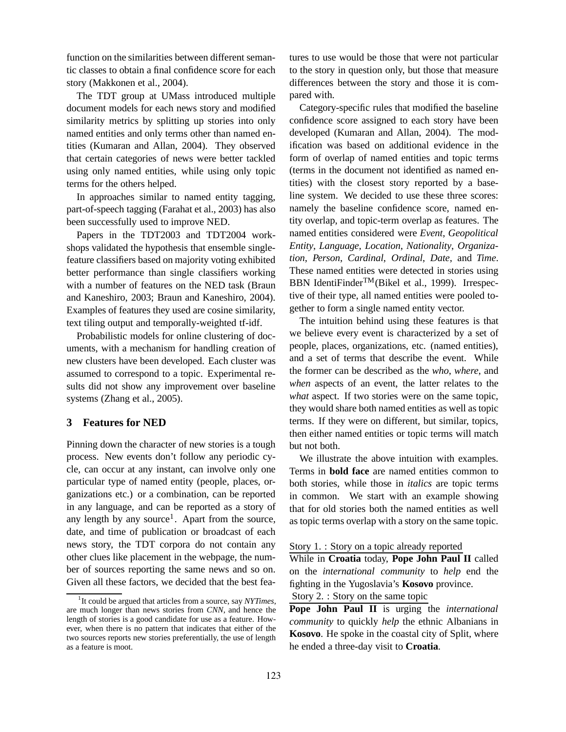function on the similarities between different semantic classes to obtain a final confidence score for each story (Makkonen et al., 2004).

The TDT group at UMass introduced multiple document models for each news story and modified similarity metrics by splitting up stories into only named entities and only terms other than named entities (Kumaran and Allan, 2004). They observed that certain categories of news were better tackled using only named entities, while using only topic terms for the others helped.

In approaches similar to named entity tagging, part-of-speech tagging (Farahat et al., 2003) has also been successfully used to improve NED.

Papers in the TDT2003 and TDT2004 workshops validated the hypothesis that ensemble singlefeature classifiers based on majority voting exhibited better performance than single classifiers working with a number of features on the NED task (Braun and Kaneshiro, 2003; Braun and Kaneshiro, 2004). Examples of features they used are cosine similarity, text tiling output and temporally-weighted tf-idf.

Probabilistic models for online clustering of documents, with a mechanism for handling creation of new clusters have been developed. Each cluster was assumed to correspond to a topic. Experimental results did not show any improvement over baseline systems (Zhang et al., 2005).

# **3 Features for NED**

Pinning down the character of new stories is a tough process. New events don't follow any periodic cycle, can occur at any instant, can involve only one particular type of named entity (people, places, organizations etc.) or a combination, can be reported in any language, and can be reported as a story of any length by any source<sup>1</sup>. Apart from the source, date, and time of publication or broadcast of each news story, the TDT corpora do not contain any other clues like placement in the webpage, the number of sources reporting the same news and so on. Given all these factors, we decided that the best features to use would be those that were not particular to the story in question only, but those that measure differences between the story and those it is compared with.

Category-specific rules that modified the baseline confidence score assigned to each story have been developed (Kumaran and Allan, 2004). The modification was based on additional evidence in the form of overlap of named entities and topic terms (terms in the document not identified as named entities) with the closest story reported by a baseline system. We decided to use these three scores: namely the baseline confidence score, named entity overlap, and topic-term overlap as features. The named entities considered were *Event*, *Geopolitical Entity*, *Language*, *Location*, *Nationality*, *Organization*, *Person*, *Cardinal*, *Ordinal*, *Date*, and *Time*. These named entities were detected in stories using BBN IdentiFinder<sup>TM</sup>(Bikel et al., 1999). Irrespective of their type, all named entities were pooled together to form a single named entity vector.

The intuition behind using these features is that we believe every event is characterized by a set of people, places, organizations, etc. (named entities), and a set of terms that describe the event. While the former can be described as the *who*, *where*, and *when* aspects of an event, the latter relates to the *what* aspect. If two stories were on the same topic, they would share both named entities as well as topic terms. If they were on different, but similar, topics, then either named entities or topic terms will match but not both.

We illustrate the above intuition with examples. Terms in **bold face** are named entities common to both stories, while those in *italics* are topic terms in common. We start with an example showing that for old stories both the named entities as well as topic terms overlap with a story on the same topic.

Story 1. : Story on a topic already reported

Story 2. : Story on the same topic

**Pope John Paul II** is urging the *international community* to quickly *help* the ethnic Albanians in **Kosovo**. He spoke in the coastal city of Split, where he ended a three-day visit to **Croatia**.

<sup>1</sup> It could be argued that articles from a source, say *NYTimes*, are much longer than news stories from *CNN*, and hence the length of stories is a good candidate for use as a feature. However, when there is no pattern that indicates that either of the two sources reports new stories preferentially, the use of length as a feature is moot.

While in **Croatia** today, **Pope John Paul II** called on the *international community* to *help* end the fighting in the Yugoslavia's **Kosovo** province.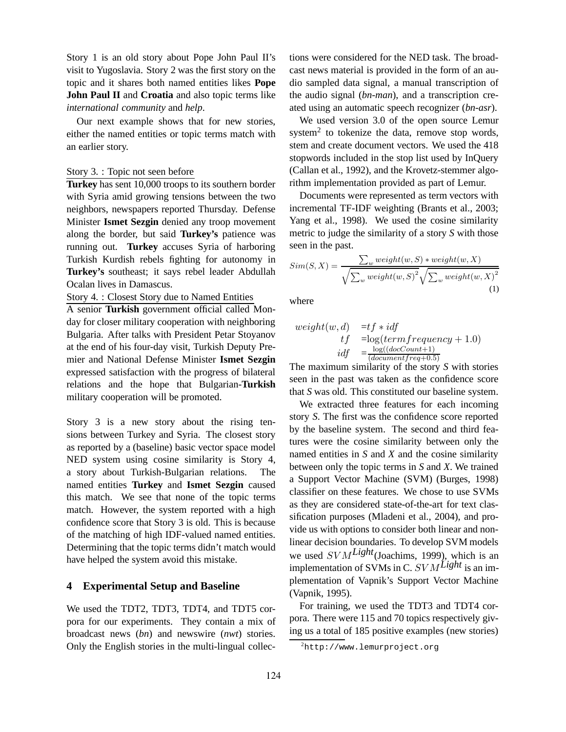Story 1 is an old story about Pope John Paul II's visit to Yugoslavia. Story 2 was the first story on the topic and it shares both named entities likes **Pope John Paul II** and **Croatia** and also topic terms like *international community* and *help*.

Our next example shows that for new stories, either the named entities or topic terms match with an earlier story.

### Story 3. : Topic not seen before

**Turkey** has sent 10,000 troops to its southern border with Syria amid growing tensions between the two neighbors, newspapers reported Thursday. Defense Minister **Ismet Sezgin** denied any troop movement along the border, but said **Turkey's** patience was running out. **Turkey** accuses Syria of harboring Turkish Kurdish rebels fighting for autonomy in **Turkey's** southeast; it says rebel leader Abdullah Ocalan lives in Damascus.

### Story 4. : Closest Story due to Named Entities

A senior **Turkish** government official called Monday for closer military cooperation with neighboring Bulgaria. After talks with President Petar Stoyanov at the end of his four-day visit, Turkish Deputy Premier and National Defense Minister **Ismet Sezgin** expressed satisfaction with the progress of bilateral relations and the hope that Bulgarian-**Turkish** military cooperation will be promoted.

Story 3 is a new story about the rising tensions between Turkey and Syria. The closest story as reported by a (baseline) basic vector space model NED system using cosine similarity is Story 4, a story about Turkish-Bulgarian relations. The named entities **Turkey** and **Ismet Sezgin** caused this match. We see that none of the topic terms match. However, the system reported with a high confidence score that Story 3 is old. This is because of the matching of high IDF-valued named entities. Determining that the topic terms didn't match would have helped the system avoid this mistake.

### **4 Experimental Setup and Baseline**

We used the TDT2, TDT3, TDT4, and TDT5 corpora for our experiments. They contain a mix of broadcast news (*bn*) and newswire (*nwt*) stories. Only the English stories in the multi-lingual collections were considered for the NED task. The broadcast news material is provided in the form of an audio sampled data signal, a manual transcription of the audio signal (*bn-man*), and a transcription created using an automatic speech recognizer (*bn-asr*).

We used version 3.0 of the open source Lemur system<sup>2</sup> to tokenize the data, remove stop words, stem and create document vectors. We used the 418 stopwords included in the stop list used by InQuery (Callan et al., 1992), and the Krovetz-stemmer algorithm implementation provided as part of Lemur.

Documents were represented as term vectors with incremental TF-IDF weighting (Brants et al., 2003; Yang et al., 1998). We used the cosine similarity metric to judge the similarity of a story *S* with those seen in the past.

$$
Sim(S, X) = \frac{\sum_{w} weight(w, S) * weight(w, X)}{\sqrt{\sum_{w} weight(w, S)^{2}} \sqrt{\sum_{w} weight(w, X)^{2}}}
$$
\n(1)

where

$$
weight(w, d) = tf * idf
$$
  
\n
$$
tf = log(term frequency + 1.0)
$$
  
\n
$$
idf = \frac{log((docCount + 1)}{(documentfreq + 0.5)}
$$

The maximum similarity of the story *S* with stories seen in the past was taken as the confidence score that *S* was old. This constituted our baseline system.

We extracted three features for each incoming story *S*. The first was the confidence score reported by the baseline system. The second and third features were the cosine similarity between only the named entities in *S* and *X* and the cosine similarity between only the topic terms in *S* and *X*. We trained a Support Vector Machine (SVM) (Burges, 1998) classifier on these features. We chose to use SVMs as they are considered state-of-the-art for text classification purposes (Mladeni et al., 2004), and provide us with options to consider both linear and nonlinear decision boundaries. To develop SVM models we used SV M*Light*(Joachims, 1999), which is an implementation of SVMs in C. SV M*Light* is an implementation of Vapnik's Support Vector Machine (Vapnik, 1995).

For training, we used the TDT3 and TDT4 corpora. There were 115 and 70 topics respectively giving us a total of 185 positive examples (new stories)

 $^{2}$ http://www.lemurproject.org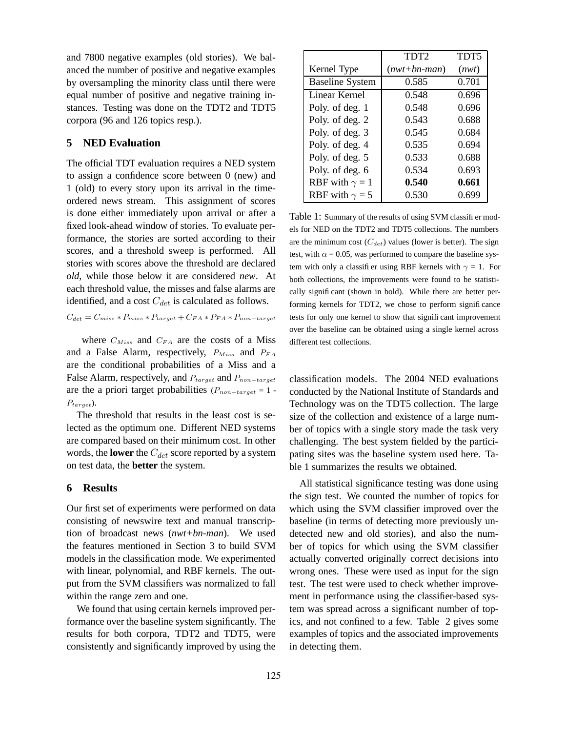and 7800 negative examples (old stories). We balanced the number of positive and negative examples by oversampling the minority class until there were equal number of positive and negative training instances. Testing was done on the TDT2 and TDT5 corpora (96 and 126 topics resp.).

# **5 NED Evaluation**

The official TDT evaluation requires a NED system to assign a confidence score between 0 (new) and 1 (old) to every story upon its arrival in the timeordered news stream. This assignment of scores is done either immediately upon arrival or after a fixed look-ahead window of stories. To evaluate performance, the stories are sorted according to their scores, and a threshold sweep is performed. All stories with scores above the threshold are declared *old*, while those below it are considered *new*. At each threshold value, the misses and false alarms are identified, and a cost  $C_{det}$  is calculated as follows.

 $C_{det} = C_{miss} * P_{miss} * P_{target} + C_{FA} * P_{FA} * P_{non-target}$ 

where  $C_{Miss}$  and  $C_{FA}$  are the costs of a Miss and a False Alarm, respectively,  $P_{Miss}$  and  $P_{FA}$ are the conditional probabilities of a Miss and a False Alarm, respectively, and Ptarget and Pnon−target are the a priori target probabilities ( $P_{non-target} = 1$  - $P_{target}$ ).

The threshold that results in the least cost is selected as the optimum one. Different NED systems are compared based on their minimum cost. In other words, the **lower** the  $C_{det}$  score reported by a system on test data, the **better** the system.

### **6 Results**

Our first set of experiments were performed on data consisting of newswire text and manual transcription of broadcast news (*nwt+bn-man*). We used the features mentioned in Section 3 to build SVM models in the classification mode. We experimented with linear, polynomial, and RBF kernels. The output from the SVM classifiers was normalized to fall within the range zero and one.

We found that using certain kernels improved performance over the baseline system significantly. The results for both corpora, TDT2 and TDT5, were consistently and significantly improved by using the

|                        | TDT <sub>2</sub> | TDT5  |
|------------------------|------------------|-------|
| Kernel Type            | $(nwt+bn-man)$   | (nwt) |
| <b>Baseline System</b> | 0.585            | 0.701 |
| Linear Kernel          | 0.548            | 0.696 |
| Poly. of deg. 1        | 0.548            | 0.696 |
| Poly. of deg. 2        | 0.543            | 0.688 |
| Poly. of deg. 3        | 0.545            | 0.684 |
| Poly. of deg. 4        | 0.535            | 0.694 |
| Poly. of deg. 5        | 0.533            | 0.688 |
| Poly. of deg. 6        | 0.534            | 0.693 |
| RBF with $\gamma = 1$  | 0.540            | 0.661 |
| RBF with $\gamma = 5$  | 0.530            | 0.699 |

Table 1: Summary of the results of using SVM classifier models for NED on the TDT2 and TDT5 collections. The numbers are the minimum cost  $(C_{det})$  values (lower is better). The sign test, with  $\alpha = 0.05$ , was performed to compare the baseline system with only a classifier using RBF kernels with  $\gamma = 1$ . For both collections, the improvements were found to be statistically significant (shown in bold). While there are better performing kernels for TDT2, we chose to perform significance tests for only one kernel to show that significant improvement over the baseline can be obtained using a single kernel across different test collections.

classification models. The 2004 NED evaluations conducted by the National Institute of Standards and Technology was on the TDT5 collection. The large size of the collection and existence of a large number of topics with a single story made the task very challenging. The best system fielded by the participating sites was the baseline system used here. Table 1 summarizes the results we obtained.

All statistical significance testing was done using the sign test. We counted the number of topics for which using the SVM classifier improved over the baseline (in terms of detecting more previously undetected new and old stories), and also the number of topics for which using the SVM classifier actually converted originally correct decisions into wrong ones. These were used as input for the sign test. The test were used to check whether improvement in performance using the classifier-based system was spread across a significant number of topics, and not confined to a few. Table 2 gives some examples of topics and the associated improvements in detecting them.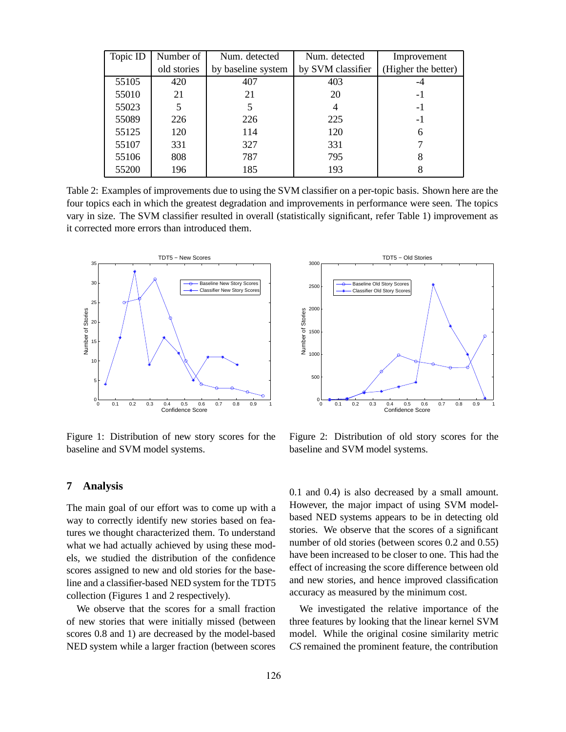| Topic ID | Number of   | Num. detected      | Num. detected     | Improvement         |
|----------|-------------|--------------------|-------------------|---------------------|
|          | old stories | by baseline system | by SVM classifier | (Higher the better) |
| 55105    | 420         | 407                | 403               | -4                  |
| 55010    | 21          | 21                 | 20                | -1                  |
| 55023    | 5           | 5                  | 4                 | $-1$                |
| 55089    | 226         | 226                | 225               | $-1$                |
| 55125    | 120         | 114                | 120               | 6                   |
| 55107    | 331         | 327                | 331               |                     |
| 55106    | 808         | 787                | 795               | 8                   |
| 55200    | 196         | 185                | 193               |                     |

Table 2: Examples of improvements due to using the SVM classifier on a per-topic basis. Shown here are the four topics each in which the greatest degradation and improvements in performance were seen. The topics vary in size. The SVM classifier resulted in overall (statistically significant, refer Table 1) improvement as it corrected more errors than introduced them.



Figure 1: Distribution of new story scores for the baseline and SVM model systems.

### **7 Analysis**

The main goal of our effort was to come up with a way to correctly identify new stories based on features we thought characterized them. To understand what we had actually achieved by using these models, we studied the distribution of the confidence scores assigned to new and old stories for the baseline and a classifier-based NED system for the TDT5 collection (Figures 1 and 2 respectively).

We observe that the scores for a small fraction of new stories that were initially missed (between scores 0.8 and 1) are decreased by the model-based NED system while a larger fraction (between scores



Figure 2: Distribution of old story scores for the baseline and SVM model systems.

0.1 and 0.4) is also decreased by a small amount. However, the major impact of using SVM modelbased NED systems appears to be in detecting old stories. We observe that the scores of a significant number of old stories (between scores 0.2 and 0.55) have been increased to be closer to one. This had the effect of increasing the score difference between old and new stories, and hence improved classification accuracy as measured by the minimum cost.

We investigated the relative importance of the three features by looking that the linear kernel SVM model. While the original cosine similarity metric *CS* remained the prominent feature, the contribution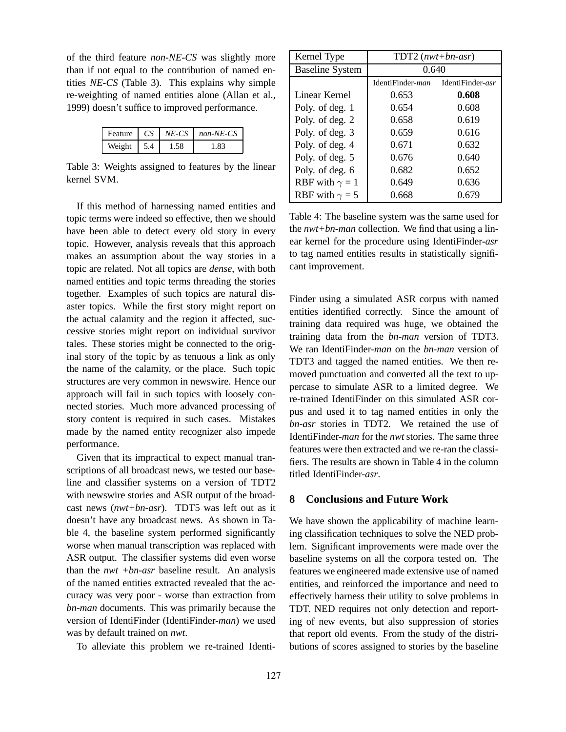of the third feature *non-NE-CS* was slightly more than if not equal to the contribution of named entities *NE-CS* (Table 3). This explains why simple re-weighting of named entities alone (Allan et al., 1999) doesn't suffice to improved performance.

| Feature | $CS$ |      | $NE\text{-}CS$   non-NE-CS |
|---------|------|------|----------------------------|
| Weight  |      | 1.58 |                            |

Table 3: Weights assigned to features by the linear kernel SVM.

If this method of harnessing named entities and topic terms were indeed so effective, then we should have been able to detect every old story in every topic. However, analysis reveals that this approach makes an assumption about the way stories in a topic are related. Not all topics are *dense*, with both named entities and topic terms threading the stories together. Examples of such topics are natural disaster topics. While the first story might report on the actual calamity and the region it affected, successive stories might report on individual survivor tales. These stories might be connected to the original story of the topic by as tenuous a link as only the name of the calamity, or the place. Such topic structures are very common in newswire. Hence our approach will fail in such topics with loosely connected stories. Much more advanced processing of story content is required in such cases. Mistakes made by the named entity recognizer also impede performance.

Given that its impractical to expect manual transcriptions of all broadcast news, we tested our baseline and classifier systems on a version of TDT2 with newswire stories and ASR output of the broadcast news (*nwt+bn-asr*). TDT5 was left out as it doesn't have any broadcast news. As shown in Table 4, the baseline system performed significantly worse when manual transcription was replaced with ASR output. The classifier systems did even worse than the *nwt +bn-asr* baseline result. An analysis of the named entities extracted revealed that the accuracy was very poor - worse than extraction from *bn-man* documents. This was primarily because the version of IdentiFinder (IdentiFinder-*man*) we used was by default trained on *nwt*.

To alleviate this problem we re-trained Identi-

| Kernel Type            | TDT2 $(nwt+bn-asr)$      |                  |  |
|------------------------|--------------------------|------------------|--|
| <b>Baseline System</b> | 0.640                    |                  |  |
|                        | IdentiFinder- <i>man</i> | IdentiFinder-asr |  |
| Linear Kernel          | 0.653                    | 0.608            |  |
| Poly. of deg. 1        | 0.654                    | 0.608            |  |
| Poly. of deg. 2        | 0.658                    | 0.619            |  |
| Poly. of deg. 3        | 0.659                    | 0.616            |  |
| Poly. of deg. 4        | 0.671                    | 0.632            |  |
| Poly. of deg. 5        | 0.676                    | 0.640            |  |
| Poly. of deg. 6        | 0.682                    | 0.652            |  |
| RBF with $\gamma = 1$  | 0.649                    | 0.636            |  |
| RBF with $\gamma = 5$  | 0.668                    | 0.679            |  |

Table 4: The baseline system was the same used for the *nwt+bn-man* collection. We find that using a linear kernel for the procedure using IdentiFinder-*asr* to tag named entities results in statistically significant improvement.

Finder using a simulated ASR corpus with named entities identified correctly. Since the amount of training data required was huge, we obtained the training data from the *bn-man* version of TDT3. We ran IdentiFinder-*man* on the *bn-man* version of TDT3 and tagged the named entities. We then removed punctuation and converted all the text to uppercase to simulate ASR to a limited degree. We re-trained IdentiFinder on this simulated ASR corpus and used it to tag named entities in only the *bn-asr* stories in TDT2. We retained the use of IdentiFinder-*man* for the *nwt* stories. The same three features were then extracted and we re-ran the classifiers. The results are shown in Table 4 in the column titled IdentiFinder-*asr*.

# **8 Conclusions and Future Work**

We have shown the applicability of machine learning classification techniques to solve the NED problem. Significant improvements were made over the baseline systems on all the corpora tested on. The features we engineered made extensive use of named entities, and reinforced the importance and need to effectively harness their utility to solve problems in TDT. NED requires not only detection and reporting of new events, but also suppression of stories that report old events. From the study of the distributions of scores assigned to stories by the baseline